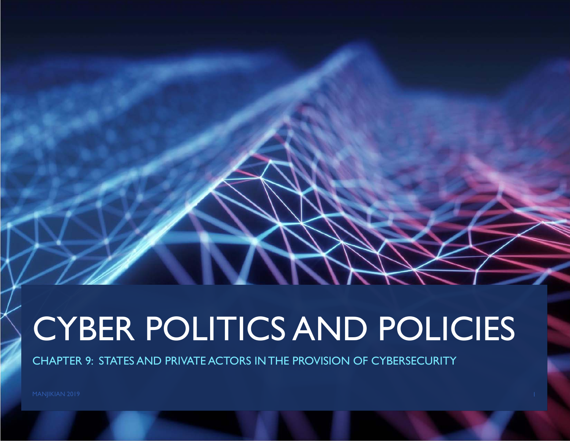## CYBER POLITICS AND POLICIES

CHAPTER 9: STATES AND PRIVATE ACTORS IN THE PROVISION OF CYBERSECURITY

MANJIKIAN 2019 **1986 - Pada Secara Perancil Perancil** Perancil Perancil Perancil Perancil Perancil Perancil Perancil Perancil Perancil Perancil Perancil Perancil Perancil Perancil Perancil Perancil Perancil Perancil Peranc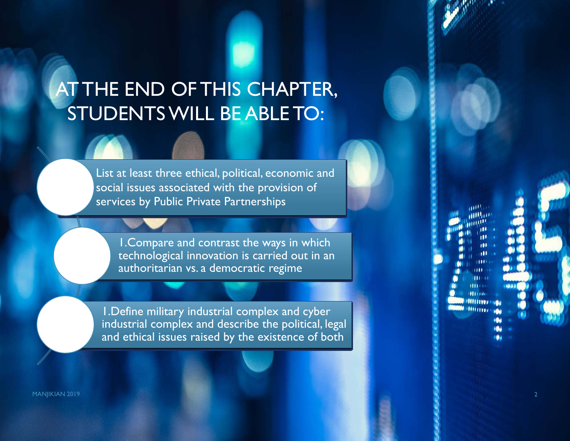### AT THE END OF THIS CHAPTER, STUDENTS WILL BE ABLE TO:

List at least three ethical, political, economic and social issues associated with the provision of services by Public Private Partnerships

1.Compare and contrast the ways in which technological innovation is carried out in an authoritarian vs. a democratic regime

1.Define military industrial complex and cyber industrial complex and describe the political, legal and ethical issues raised by the existence of both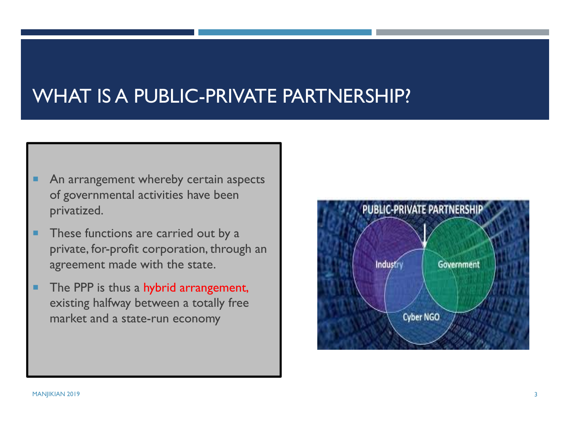#### WHAT IS A PUBLIC-PRIVATE PARTNERSHIP?

- п An arrangement whereby certain aspects of governmental activities have been privatized.
- ٠ These functions are carried out by a private, for-profit corporation, through an agreement made with the state.
- п The PPP is thus a hybrid arrangement, existing halfway between a totally free market and a state-run economy

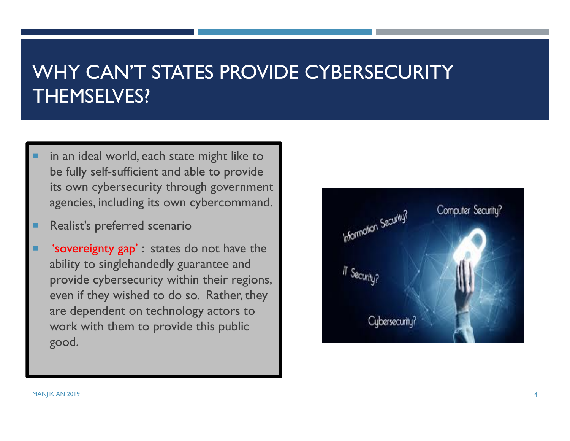#### WHY CAN'T STATES PROVIDE CYBERSECURITY THEMSELVES?

- in an ideal world, each state might like to be fully self-sufficient and able to provide its own cybersecurity through government agencies, including its own cybercommand.
- Realist's preferred scenario
- 'sovereignty gap' : states do not have the ability to singlehandedly guarantee and provide cybersecurity within their regions, even if they wished to do so. Rather, they are dependent on technology actors to work with them to provide this public good.

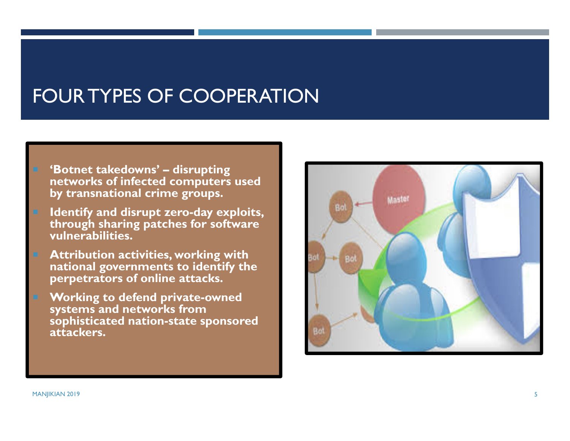#### FOUR TYPES OF COOPERATION

- 'Botnet takedowns' disrupting **networks of infected computers used**  by transnational crime groups.
- **Identify and disrupt zero-day exploits, through sharing patches for software vulnerabilities.**
- **Attribution activities, working with national governments to identify the perpetrators of online attacks.**
- **Working to defend private-owned systems and networks from sophisticated nation-state sponsored attackers.**

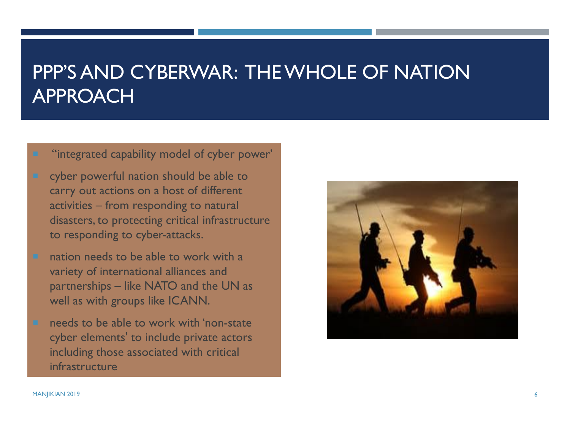#### PPP'S AND CYBERWAR: THE WHOLE OF NATION APPROACH

"integrated capability model of cyber power'

- cyber powerful nation should be able to carry out actions on a host of different activities – from responding to natural disasters, to protecting critical infrastructure to responding to cyber-attacks.
	- nation needs to be able to work with a variety of international alliances and partnerships – like NATO and the UN as well as with groups like ICANN.
- needs to be able to work with 'non-state cyber elements' to include private actors including those associated with critical infrastructure

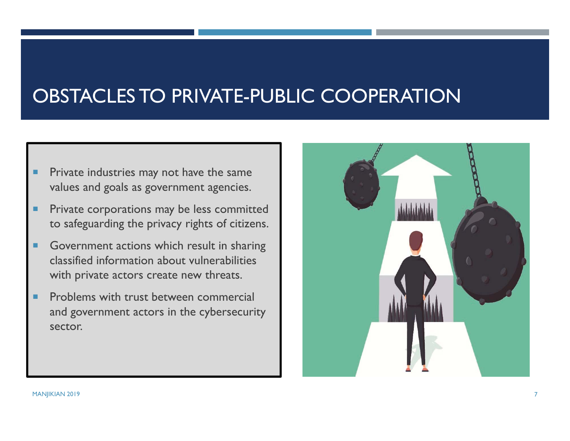#### OBSTACLES TO PRIVATE-PUBLIC COOPERATION

- ٠ Private industries may not have the same values and goals as government agencies.
- ٠ Private corporations may be less committed to safeguarding the privacy rights of citizens.
- ٠ Government actions which result in sharing classified information about vulnerabilities with private actors create new threats.
- ٠ Problems with trust between commercial and government actors in the cybersecurity sector.

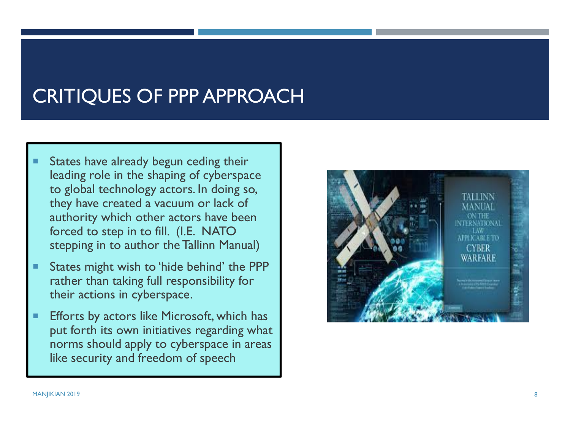#### CRITIQUES OF PPP APPROACH

- ▉ States have already begun ceding their leading role in the shaping of cyberspace to global technology actors. In doing so, they have created a vacuum or lack of authority which other actors have been forced to step in to fill. (I.E. NATO stepping in to author the Tallinn Manual)
- $\blacksquare$  States might wish to 'hide behind' the PPP rather than taking full responsibility for their actions in cyberspace.
- $\blacksquare$  Efforts by actors like Microsoft, which has put forth its own initiatives regarding what norms should apply to cyberspace in areas like security and freedom of speech

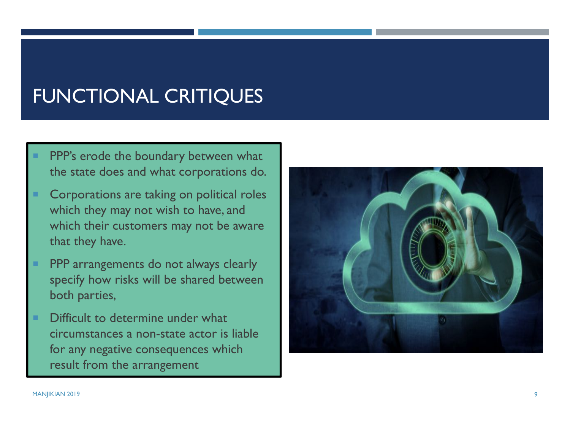#### FUNCTIONAL CRITIQUES

- PPP's erode the boundary between what the state does and what corporations do.
- Corporations are taking on political roles which they may not wish to have, and which their customers may not be aware that they have.
- PPP arrangements do not always clearly specify how risks will be shared between both parties,
- Difficult to determine under what circumstances a non-state actor is liable for any negative consequences which result from the arrangement

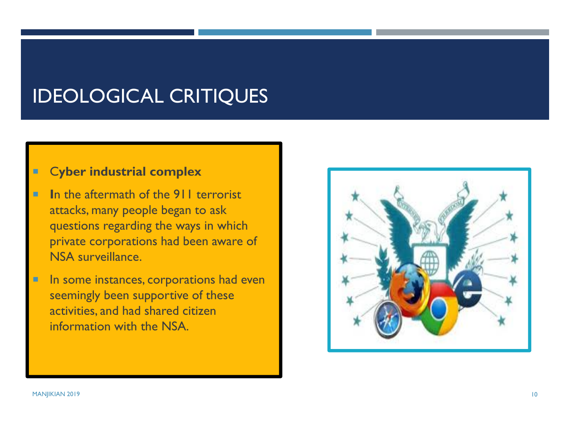#### IDEOLOGICAL CRITIQUES

#### C**yber industrial complex**

- **I**n the aftermath of the 911 terrorist attacks, many people began to ask questions regarding the ways in which private corporations had been aware of NSA surveillance.
- E In some instances, corporations had even seemingly been supportive of these activities, and had shared citizen information with the NSA.

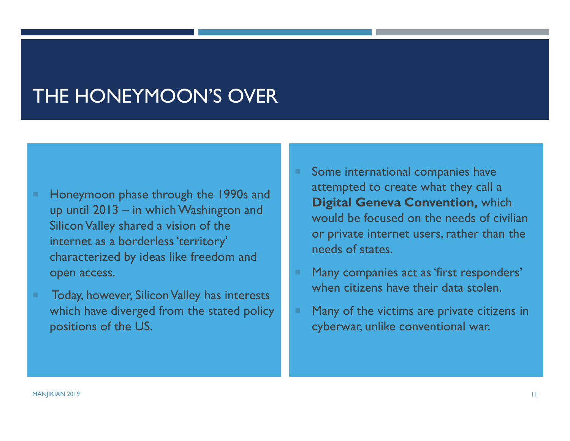#### THE HONEYMOON'S OVER

- ٠ Honeymoon phase through the 1990s and up until 2013 – in which Washington and Silicon Valley shared a vision of the internet as a borderless 'territory' characterized by ideas like freedom and open access.
- Today, however, Silicon Valley has interests which have diverged from the stated policy positions of the US.
- Some international companies have attempted to create what they call a **Digital Geneva Convention,** which would be focused on the needs of civilian or private internet users, rather than the needs of states.
- Many companies act as 'first responders' when citizens have their data stolen.
- Many of the victims are private citizens in cyberwar, unlike conventional war.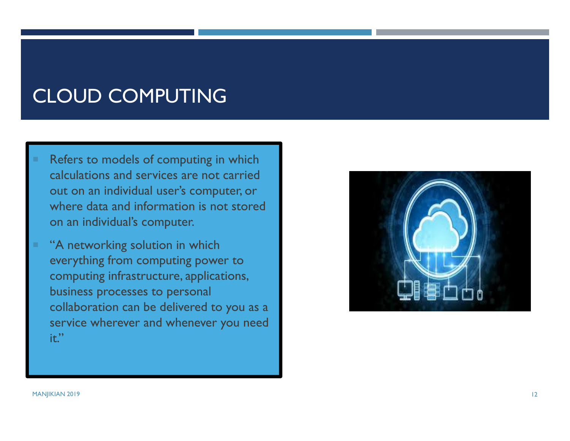#### CLOUD COMPUTING

- Refers to models of computing in which calculations and services are not carried out on an individual user's computer, or where data and information is not stored on an individual's computer.
- "A networking solution in which everything from computing power to computing infrastructure, applications, business processes to personal collaboration can be delivered to you as a service wherever and whenever you need it."

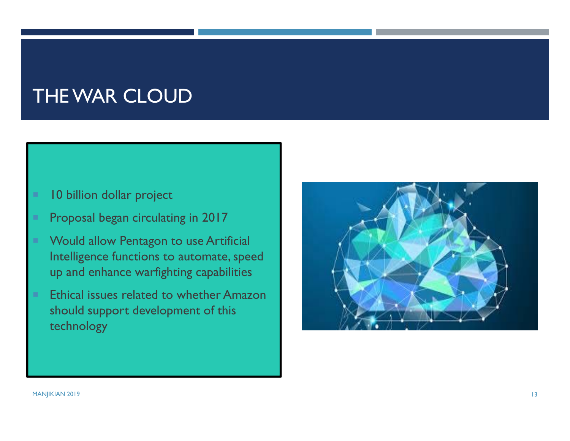#### THE WAR CLOUD

- × 10 billion dollar project
- ٠ Proposal began circulating in 2017
- ٠ Would allow Pentagon to use Artificial Intelligence functions to automate, speed up and enhance warfighting capabilities
- ٠ Ethical issues related to whether Amazon should support development of this technology

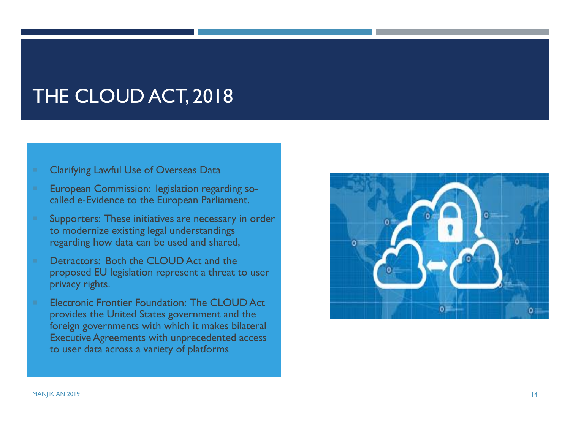#### THE CLOUD ACT, 2018

- Clarifying Lawful Use of Overseas Data
- European Commission: legislation regarding socalled e-Evidence to the European Parliament.
- Supporters: These initiatives are necessary in order to modernize existing legal understandings regarding how data can be used and shared,
- Detractors: Both the CLOUD Act and the proposed EU legislation represent a threat to user privacy rights.
- Electronic Frontier Foundation: The CLOUD Act provides the United States government and the foreign governments with which it makes bilateral Executive Agreements with unprecedented access to user data across a variety of platforms

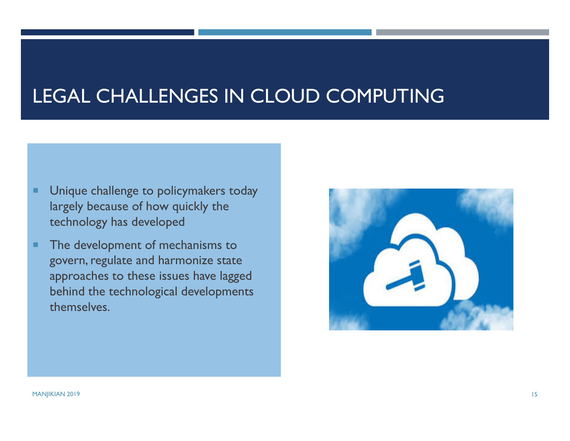#### LEGAL CHALLENGES IN CLOUD COMPUTING

- п Unique challenge to policymakers today largely because of how quickly the technology has developed
- ш The development of mechanisms to govern, regulate and harmonize state approaches to these issues have lagged behind the technological developments themselves.